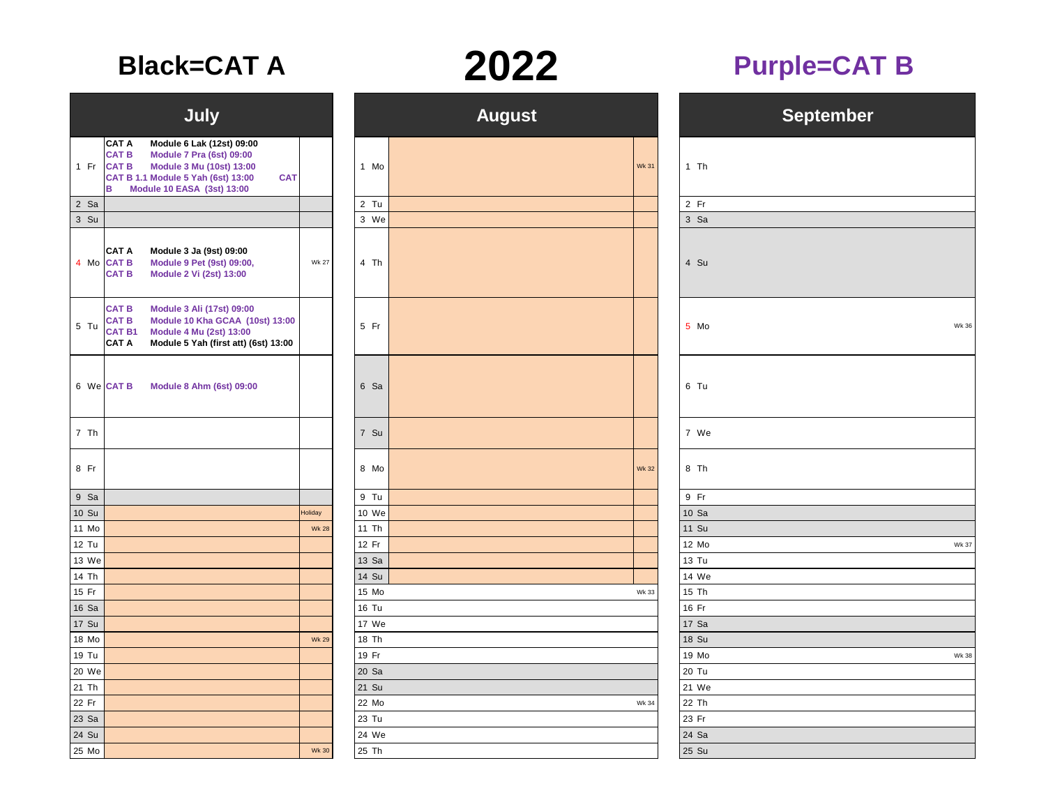## **Black=CAT A 2022 Purple=CAT B**

|       |              | <b>July</b>                                                                                                                                                                                                                                          |              |
|-------|--------------|------------------------------------------------------------------------------------------------------------------------------------------------------------------------------------------------------------------------------------------------------|--------------|
|       | $1$ Fr       | <b>CAT A</b><br>Module 6 Lak (12st) 09:00<br><b>CAT B</b><br><b>Module 7 Pra (6st) 09:00</b><br><b>CAT B</b><br><b>Module 3 Mu (10st) 13:00</b><br>CAT B 1.1 Module 5 Yah (6st) 13:00<br><b>CAT</b><br><b>Module 10 EASA (3st) 13:00</b><br><b>B</b> |              |
|       | 2 Sa         |                                                                                                                                                                                                                                                      |              |
|       | 3 Su         |                                                                                                                                                                                                                                                      |              |
|       |              | <b>CAT A</b><br>Module 3 Ja (9st) 09:00<br>4 Mo CAT B<br><b>Module 9 Pet (9st) 09:00,</b><br><b>CAT B</b><br><b>Module 2 Vi (2st) 13:00</b>                                                                                                          | <b>Wk 27</b> |
|       | 5 Tu         | <b>CAT B</b><br><b>Module 3 Ali (17st) 09:00</b><br><b>CAT B</b><br>Module 10 Kha GCAA (10st) 13:00<br><b>CAT B1</b><br><b>Module 4 Mu (2st) 13:00</b><br><b>CAT A</b><br>Module 5 Yah (first att) (6st) 13:00                                       |              |
|       |              | 6 We CAT B Module 8 Ahm (6st) 09:00                                                                                                                                                                                                                  |              |
|       | 7 Th         |                                                                                                                                                                                                                                                      |              |
|       | 8 Fr         |                                                                                                                                                                                                                                                      |              |
|       | 9 Sa         |                                                                                                                                                                                                                                                      |              |
|       | <b>10 Su</b> |                                                                                                                                                                                                                                                      | Holiday      |
|       | 11 Mo        |                                                                                                                                                                                                                                                      | <b>Wk 28</b> |
|       | 12 Tu        |                                                                                                                                                                                                                                                      |              |
|       | 13 We        |                                                                                                                                                                                                                                                      |              |
|       | 14 Th        |                                                                                                                                                                                                                                                      |              |
| 15 Fr |              |                                                                                                                                                                                                                                                      |              |
|       | 16 Sa        |                                                                                                                                                                                                                                                      |              |
|       | <b>17 Su</b> |                                                                                                                                                                                                                                                      |              |
|       | 18 Mo        |                                                                                                                                                                                                                                                      | <b>Wk 29</b> |
|       | 19 Tu        |                                                                                                                                                                                                                                                      |              |
|       | 20 We        |                                                                                                                                                                                                                                                      |              |
|       | 21 Th        |                                                                                                                                                                                                                                                      |              |
| 22 Fr |              |                                                                                                                                                                                                                                                      |              |
|       | 23 Sa        |                                                                                                                                                                                                                                                      |              |
|       | 24 Su        |                                                                                                                                                                                                                                                      |              |
|       | 25 Mo        |                                                                                                                                                                                                                                                      | <b>Wk 30</b> |

| July    |                                                                                                                                                                                                                                             |              |        | <b>August</b> | <b>September</b> |              |  |
|---------|---------------------------------------------------------------------------------------------------------------------------------------------------------------------------------------------------------------------------------------------|--------------|--------|---------------|------------------|--------------|--|
|         | <b>CAT A</b><br>Module 6 Lak (12st) 09:00<br><b>CAT B</b><br><b>Module 7 Pra (6st) 09:00</b><br>1 Fr CAT B<br><b>Module 3 Mu (10st) 13:00</b><br>CAT B 1.1 Module 5 Yah (6st) 13:00<br><b>CAT</b><br><b>Module 10 EASA (3st) 13:00</b><br>B |              | 1 Mo   | <b>Wk 31</b>  | $1$ Th           |              |  |
| 2 Sa    |                                                                                                                                                                                                                                             |              | 2 Tu   |               | 2 Fr             |              |  |
| $3$ Su  |                                                                                                                                                                                                                                             |              | 3 We   |               | 3 Sa             |              |  |
|         | <b>CAT A</b><br>Module 3 Ja (9st) 09:00<br>4 Mo CAT B<br><b>Module 9 Pet (9st) 09:00,</b><br><b>CAT B</b><br><b>Module 2 Vi (2st) 13:00</b>                                                                                                 | <b>Wk 27</b> | 4 Th   |               | 4 Su             |              |  |
| 5 Tu    | <b>CAT B</b><br><b>Module 3 Ali (17st) 09:00</b><br><b>CAT B</b><br>Module 10 Kha GCAA (10st) 13:00<br><b>CAT B1</b><br><b>Module 4 Mu (2st) 13:00</b><br><b>CAT A</b><br>Module 5 Yah (first att) (6st) 13:00                              |              | $5$ Fr |               | 5 Mo             | Wk 36        |  |
|         | 6 We CAT B<br><b>Module 8 Ahm (6st) 09:00</b>                                                                                                                                                                                               |              | 6 Sa   |               | 6 Tu             |              |  |
| 7 Th    |                                                                                                                                                                                                                                             |              | 7 Su   |               | 7 We             |              |  |
| $8$ Fr  |                                                                                                                                                                                                                                             |              | 8 Mo   | <b>Wk 32</b>  | 8 Th             |              |  |
| 9 Sa    |                                                                                                                                                                                                                                             |              | 9 Tu   |               | 9 Fr             |              |  |
| 10 Su   |                                                                                                                                                                                                                                             | Holiday      | 10 We  |               | 10 Sa            |              |  |
| 11 Mo   |                                                                                                                                                                                                                                             | <b>Wk 28</b> | 11 Th  |               | 11 Su            |              |  |
| $12$ Tu |                                                                                                                                                                                                                                             |              | 12 Fr  |               | 12 Mo            | <b>Wk 37</b> |  |
| 13 We   |                                                                                                                                                                                                                                             |              | 13 Sa  |               | 13 Tu            |              |  |
| 14 Th   |                                                                                                                                                                                                                                             |              | 14 Su  |               | 14 We            |              |  |
| 15 Fr   |                                                                                                                                                                                                                                             |              | 15 Mo  | Wk 33         | 15 Th            |              |  |
| 16 Sa   |                                                                                                                                                                                                                                             |              | 16 Tu  |               | 16 Fr            |              |  |
| 17 Su   |                                                                                                                                                                                                                                             |              | 17 We  |               | 17 Sa            |              |  |
| 18 Mo   |                                                                                                                                                                                                                                             | <b>Wk 29</b> | 18 Th  |               | 18 Su            |              |  |
| 19 Tu   |                                                                                                                                                                                                                                             |              | 19 Fr  |               | 19 Mo            | Wk 38        |  |
| 20 We   |                                                                                                                                                                                                                                             |              | 20 Sa  |               | 20 Tu            |              |  |
| 21 Th   |                                                                                                                                                                                                                                             |              | 21 Su  |               | 21 We            |              |  |
| 22 Fr   |                                                                                                                                                                                                                                             |              | 22 Mo  | Wk 34         | 22 Th            |              |  |
| 23 Sa   |                                                                                                                                                                                                                                             |              | 23 Tu  |               | 23 Fr            |              |  |
| 24 Su   |                                                                                                                                                                                                                                             |              | 24 We  |               | 24 Sa            |              |  |
| 25 Mo   |                                                                                                                                                                                                                                             | <b>Wk 30</b> | 25 Th  |               | 25 Su            |              |  |

|       |        | Ĭ, |
|-------|--------|----|
|       | $1$ Th |    |
|       | 2 Fr   |    |
|       | 3 Sa   |    |
|       | 4 Su   |    |
|       | 5 Mo   |    |
|       | 6 Tu   |    |
|       | 7 We   |    |
|       | 8 Th   |    |
|       | 9 Fr   |    |
|       | 10 Sa  |    |
|       | 11 Su  |    |
|       | 12 Mo  |    |
|       | 13 Tu  |    |
|       | 14 We  |    |
|       | 15 Th  |    |
|       | 16 Fr  |    |
|       | 17 Sa  |    |
|       | 18 Su  |    |
|       | 19 Mo  |    |
|       | 20 Tu  |    |
|       | 21 We  |    |
|       | 22 Th  |    |
| 23 Fr |        |    |
|       | 24 Sa  |    |
|       | 25 Su  |    |



## $\frac{1}{2}$ eptember

| <b>Wk 37</b> |
|--------------|
|              |
|              |
|              |
|              |
|              |
|              |
| <b>Wk 38</b> |
|              |
|              |
|              |
|              |
|              |
|              |